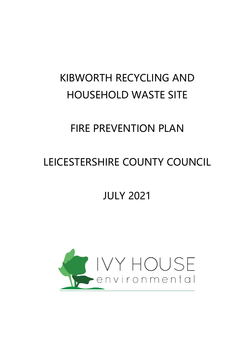# KIBWORTH RECYCLING AND HOUSEHOLD WASTE SITE

## FIRE PREVENTION PLAN

## LEICESTERSHIRE COUNTY COUNCIL

## JULY 2021

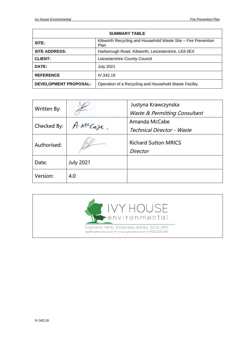| <b>SUMMARY TABLE</b>                                                           |                                                        |  |  |
|--------------------------------------------------------------------------------|--------------------------------------------------------|--|--|
| Kibworth Recycling and Household Waste Site - Fire Prevention<br>SITE:<br>Plan |                                                        |  |  |
| <b>SITE ADDRESS:</b>                                                           | Harborough Road, Kibworth, Leicestershire, LE8 0EX     |  |  |
| <b>CLIENT:</b>                                                                 | Leicestershire County Council                          |  |  |
| DATE:                                                                          | <b>July 2021</b>                                       |  |  |
| <b>REFERENCE</b>                                                               | IV.342.19                                              |  |  |
| <b>DEVELOPMENT PROPOSAL:</b>                                                   | Operation of a Recycling and Household Waste Facility. |  |  |

| Written By: |                  | Justyna Krawczynska<br>Waste & Permitting Consultant |
|-------------|------------------|------------------------------------------------------|
|             |                  |                                                      |
| Checked By: | MCCoze           | Amanda McCabe                                        |
|             |                  | Technical Director - Waste                           |
| Authorised: |                  | <b>Richard Sutton MRICS</b><br>Director              |
|             |                  |                                                      |
| Date:       | <b>July 2021</b> |                                                      |
| Version:    | 4.0              |                                                      |

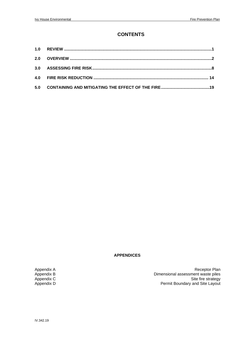### **CONTENTS**

| 2.0 |  |
|-----|--|
|     |  |
|     |  |
| 5.0 |  |

#### **APPENDICES**

Appendix A<br>
Appendix B<br>
Appendix C<br>
Appendix C<br>
Appendix D<br>
Appendix D<br>
Appendix D<br>
Appendix D<br>
Appendix D<br>
Appendix D<br>
Appendix D<br>
Appendix D<br>
Appendix D<br>
Appendix D<br>
Appendix D<br>
Appendix D<br>
Appendix D<br>
Appendix D<br>
Append Appendix B Dimensional assessment waste piles Appendix C  $\qquad \qquad \qquad$  Appendix C  $\qquad \qquad$  Site fire strategy Permit Boundary and Site Layout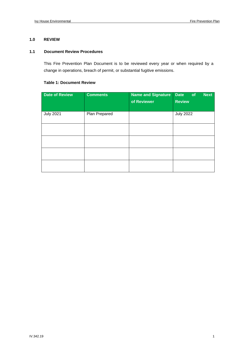#### **1.0 REVIEW**

#### **1.1 Document Review Procedures**

This Fire Prevention Plan Document is to be reviewed every year or when required by a change in operations, breach of permit, or substantial fugitive emissions.

#### **Table 1: Document Review**

| <b>Date of Review</b> | <b>Comments</b> | <b>Name and Signature</b><br>of Reviewer | <b>Next</b><br><b>Date</b><br>of<br><b>Review</b> |
|-----------------------|-----------------|------------------------------------------|---------------------------------------------------|
| <b>July 2021</b>      | Plan Prepared   |                                          | <b>July 2022</b>                                  |
|                       |                 |                                          |                                                   |
|                       |                 |                                          |                                                   |
|                       |                 |                                          |                                                   |
|                       |                 |                                          |                                                   |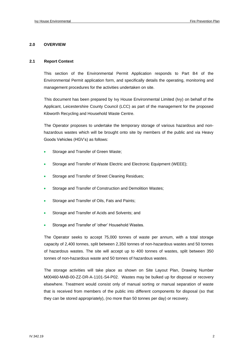#### **2.0 OVERVIEW**

#### **2.1 Report Context**

This section of the Environmental Permit Application responds to Part B4 of the Environmental Permit application form, and specifically details the operating, monitoring and management procedures for the activities undertaken on site.

This document has been prepared by Ivy House Environmental Limited (Ivy) on behalf of the Applicant, Leicestershire County Council (LCC) as part of the management for the proposed Kibworth Recycling and Household Waste Centre.

The Operator proposes to undertake the temporary storage of various hazardous and nonhazardous wastes which will be brought onto site by members of the public and via Heavy Goods Vehicles (HGV's) as follows:

- Storage and Transfer of Green Waste;
- Storage and Transfer of Waste Electric and Electronic Equipment (WEEE);
- Storage and Transfer of Street Cleaning Residues;
- Storage and Transfer of Construction and Demolition Wastes;
- Storage and Transfer of Oils, Fats and Paints;
- Storage and Transfer of Acids and Solvents; and
- Storage and Transfer of 'other' Household Wastes.

The Operator seeks to accept 75,000 tonnes of waste per annum, with a total storage capacity of 2,400 tonnes, split between 2,350 tonnes of non-hazardous wastes and 50 tonnes of hazardous wastes. The site will accept up to 400 tonnes of wastes, split between 350 tonnes of non-hazardous waste and 50 tonnes of hazardous wastes.

The storage activities will take place as shown on Site Layout Plan, Drawing Number M00460-MAB-00-ZZ-DR-A-1101-S4-P02. Wastes may be bulked up for disposal or recovery elsewhere. Treatment would consist only of manual sorting or manual separation of waste that is received from members of the public into different components for disposal (so that they can be stored appropriately), (no more than 50 tonnes per day) or recovery.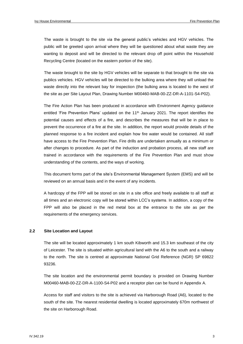The waste is brought to the site via the general public's vehicles and HGV vehicles. The public will be greeted upon arrival where they will be questioned about what waste they are wanting to deposit and will be directed to the relevant drop off point within the Household Recycling Centre (located on the eastern portion of the site).

The waste brought to the site by HGV vehicles will be separate to that brought to the site via publics vehicles. HGV vehicles will be directed to the bulking area where they will unload the waste directly into the relevant bay for inspection (the bulking area is located to the west of the site as per Site Layout Plan, Drawing Number M00460-MAB-00-ZZ-DR-A-1101-S4-P02).

The Fire Action Plan has been produced in accordance with Environment Agency guidance entitled 'Fire Prevention Plans' updated on the  $11<sup>th</sup>$  January 2021. The report identifies the potential causes and effects of a fire, and describes the measures that will be in place to prevent the occurrence of a fire at the site. In addition, the report would provide details of the planned response to a fire incident and explain how fire water would be contained. All staff have access to the Fire Prevention Plan. Fire drills are undertaken annually as a minimum or after changes to procedure. As part of the induction and probation process, all new staff are trained in accordance with the requirements of the Fire Prevention Plan and must show understanding of the contents, and the ways of working.

This document forms part of the site's Environmental Management System (EMS) and will be reviewed on an annual basis and in the event of any incidents.

A hardcopy of the FPP will be stored on site in a site office and freely available to all staff at all times and an electronic copy will be stored within LCC's systems. In addition, a copy of the FPP will also be placed in the red metal box at the entrance to the site as per the requirements of the emergency services.

#### **2.2 Site Location and Layout**

The site will be located approximately 1 km south Kibworth and 15.3 km southeast of the city of Leicester. The site is situated within agricultural land with the A6 to the south and a railway to the north. The site is centred at approximate National Grid Reference (NGR) SP 69822 93236.

The site location and the environmental permit boundary is provided on Drawing Number M00460-MAB-00-ZZ-DR-A-1100-S4-P02 and a receptor plan can be found in Appendix A.

Access for staff and visitors to the site is achieved via Harborough Road (A6), located to the south of the site. The nearest residential dwelling is located approximately 670m northwest of the site on Harborough Road.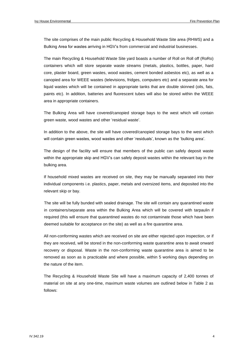The site comprises of the main public Recycling & Household Waste Site area (RHWS) and a Bulking Area for wastes arriving in HGV's from commercial and industrial businesses.

The main Recycling & Household Waste Site yard boasts a number of Roll on Roll off (RoRo) containers which will store separate waste streams (metals, plastics, bottles, paper, hard core, plaster board, green wastes, wood wastes, cement bonded asbestos etc), as well as a canopied area for WEEE wastes (televisions, fridges, computers etc) and a separate area for liquid wastes which will be contained in appropriate tanks that are double skinned (oils, fats, paints etc). In addition, batteries and fluorescent tubes will also be stored within the WEEE area in appropriate containers.

The Bulking Area will have covered/canopied storage bays to the west which will contain green waste, wood wastes and other 'residual waste'.

In addition to the above, the site will have covered/canopied storage bays to the west which will contain green wastes, wood wastes and other 'residuals', known as the 'bulking area'.

The design of the facility will ensure that members of the public can safely deposit waste within the appropriate skip and HGV's can safely deposit wastes within the relevant bay in the bulking area.

If household mixed wastes are received on site, they may be manually separated into their individual components i.e. plastics, paper, metals and oversized items, and deposited into the relevant skip or bay.

The site will be fully bunded with sealed drainage. The site will contain any quarantined waste in containers/separate area within the Bulking Area which will be covered with tarpaulin if required (this will ensure that quarantined wastes do not contaminate those which have been deemed suitable for acceptance on the site) as well as a fire quarantine area.

All non-conforming wastes which are received on site are either rejected upon inspection, or if they are received, will be stored in the non-conforming waste quarantine area to await onward recovery or disposal. Waste in the non-conforming waste quarantine area is aimed to be removed as soon as is practicable and where possible, within 5 working days depending on the nature of the item.

The Recycling & Household Waste Site will have a maximum capacity of 2,400 tonnes of material on site at any one-time, maximum waste volumes are outlined below in Table 2 as follows: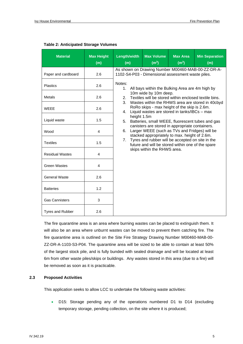| <b>Material</b>         | <b>Max Height</b><br>(m) | Length/width<br>(m)                                                                                                                                                                                                                                                                                     | <b>Max Volume</b><br>(m <sup>3</sup> )                                                                 | <b>Max Area</b><br>(m <sup>3</sup> ) | <b>Min Separation</b><br>(m) |                                   |                                               |  |                                                  |  |  |
|-------------------------|--------------------------|---------------------------------------------------------------------------------------------------------------------------------------------------------------------------------------------------------------------------------------------------------------------------------------------------------|--------------------------------------------------------------------------------------------------------|--------------------------------------|------------------------------|-----------------------------------|-----------------------------------------------|--|--------------------------------------------------|--|--|
| Paper and cardboard     | 2.6                      |                                                                                                                                                                                                                                                                                                         | As shown on Drawing Number M00460-MAB-00-ZZ-DR-A-<br>1102-S4-P03 - Dimensional assessment waste piles. |                                      |                              |                                   |                                               |  |                                                  |  |  |
| <b>Plastics</b>         | 2.6                      | Notes:<br>1.                                                                                                                                                                                                                                                                                            |                                                                                                        |                                      |                              |                                   |                                               |  |                                                  |  |  |
| Metals                  | 2.6                      | All bays within the Bulking Area are 4m high by<br>10m wide by 10m deep.<br>Textiles will be stored within enclosed textile bins.<br>2.<br>3.<br>Wastes within the RHWS area are stored in 40cbyd<br>RoRo skips - max height of the skip is 2.6m.<br>Liquid wastes are stored in tanks/IBCs - max<br>4. |                                                                                                        |                                      |                              |                                   |                                               |  |                                                  |  |  |
| <b>WEEE</b>             | 2.6                      |                                                                                                                                                                                                                                                                                                         |                                                                                                        |                                      |                              |                                   |                                               |  |                                                  |  |  |
| Liquid waste            | 1.5                      | height 1.5m<br>5.<br>canisters are stored in appropriate containers.<br>Larger WEEE (such as TVs and Fridges) will be<br>6.                                                                                                                                                                             |                                                                                                        |                                      |                              | 7.<br>skips within the RHWS area. | stacked appropriately to max. height of 2.6m. |  | Batteries, small WEEE, fluorescent tubes and gas |  |  |
| Wood                    | 4                        |                                                                                                                                                                                                                                                                                                         |                                                                                                        |                                      |                              |                                   |                                               |  |                                                  |  |  |
| <b>Textiles</b>         | 1.5                      | Tyres and rubber will be accepted on site in the<br>future and will be stored within one of the spare                                                                                                                                                                                                   |                                                                                                        |                                      |                              |                                   |                                               |  |                                                  |  |  |
| <b>Residual Wastes</b>  | 4                        |                                                                                                                                                                                                                                                                                                         |                                                                                                        |                                      |                              |                                   |                                               |  |                                                  |  |  |
| <b>Green Wastes</b>     | 4                        |                                                                                                                                                                                                                                                                                                         |                                                                                                        |                                      |                              |                                   |                                               |  |                                                  |  |  |
| <b>General Waste</b>    | 2.6                      |                                                                                                                                                                                                                                                                                                         |                                                                                                        |                                      |                              |                                   |                                               |  |                                                  |  |  |
| <b>Batteries</b>        | 1.2                      |                                                                                                                                                                                                                                                                                                         |                                                                                                        |                                      |                              |                                   |                                               |  |                                                  |  |  |
| <b>Gas Cannisters</b>   | 3                        |                                                                                                                                                                                                                                                                                                         |                                                                                                        |                                      |                              |                                   |                                               |  |                                                  |  |  |
| <b>Tyres and Rubber</b> | 2.6                      |                                                                                                                                                                                                                                                                                                         |                                                                                                        |                                      |                              |                                   |                                               |  |                                                  |  |  |

#### **Table 2: Anticipated Storage Volumes**

The fire quarantine area is an area where burning wastes can be placed to extinguish them. It will also be an area where unburnt wastes can be moved to prevent them catching fire. The fire quarantine area is outlined on the Site Fire Strategy Drawing Number M00460-MAB-00- ZZ-DR-A-1103-S3-P04. The quarantine area will be sized to be able to contain at least 50% of the largest stock pile, and is fully bunded with sealed drainage and will be located at least 6m from other waste piles/skips or buildings. Any wastes stored in this area (due to a fire) will be removed as soon as it is practicable.

#### **2.3 Proposed Activities**

This application seeks to allow LCC to undertake the following waste activities:

• D15: Storage pending any of the operations numbered D1 to D14 (excluding temporary storage, pending collection, on the site where it is produced;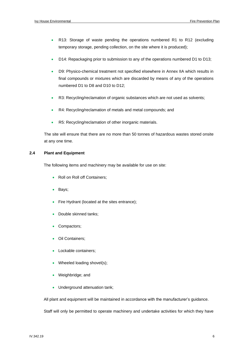- R13: Storage of waste pending the operations numbered R1 to R12 (excluding temporary storage, pending collection, on the site where it is produced);
- D14: Repackaging prior to submission to any of the operations numbered D1 to D13;
- D9: Physico-chemical treatment not specified elsewhere in Annex IIA which results in final compounds or mixtures which are discarded by means of any of the operations numbered D1 to D8 and D10 to D12;
- R3: Recycling/reclamation of organic substances which are not used as solvents;
- R4: Recycling/reclamation of metals and metal compounds; and
- R5: Recycling/reclamation of other inorganic materials.

The site will ensure that there are no more than 50 tonnes of hazardous wastes stored onsite at any one time.

#### **2.4 Plant and Equipment**

The following items and machinery may be available for use on site:

- Roll on Roll off Containers:
- Bays;
- Fire Hydrant (located at the sites entrance);
- Double skinned tanks:
- Compactors:
- Oil Containers;
- Lockable containers;
- Wheeled loading shovel(s);
- Weighbridge; and
- Underground attenuation tank;

All plant and equipment will be maintained in accordance with the manufacturer's guidance.

Staff will only be permitted to operate machinery and undertake activities for which they have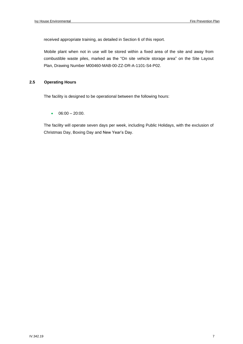received appropriate training, as detailed in Section 6 of this report.

Mobile plant when not in use will be stored within a fixed area of the site and away from combustible waste piles, marked as the "On site vehicle storage area" on the Site Layout Plan, Drawing Number M00460-MAB-00-ZZ-DR-A-1101-S4-P02.

#### **2.5 Operating Hours**

The facility is designed to be operational between the following hours:

 $\bullet$  06:00 – 20:00.

The facility will operate seven days per week, including Public Holidays, with the exclusion of Christmas Day, Boxing Day and New Year's Day.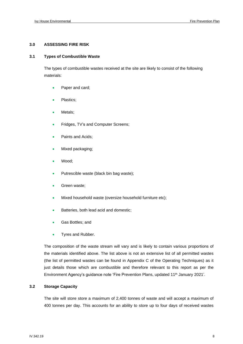#### **3.0 ASSESSING FIRE RISK**

#### **3.1 Types of Combustible Waste**

The types of combustible wastes received at the site are likely to consist of the following materials:

- Paper and card;
- Plastics;
- Metals;
- Fridges, TV's and Computer Screens;
- Paints and Acids;
- Mixed packaging;
- Wood;
- Putrescible waste (black bin bag waste);
- Green waste;
- Mixed household waste (oversize household furniture etc);
- Batteries, both lead acid and domestic;
- Gas Bottles; and
- Tyres and Rubber.

The composition of the waste stream will vary and is likely to contain various proportions of the materials identified above. The list above is not an extensive list of all permitted wastes (the list of permitted wastes can be found in Appendix C of the Operating Techniques) as it just details those which are combustible and therefore relevant to this report as per the Environment Agency's guidance note 'Fire Prevention Plans, updated 11<sup>th</sup> January 2021'.

#### **3.2 Storage Capacity**

The site will store store a maximum of 2,400 tonnes of waste and will accept a maximum of 400 tonnes per day. This accounts for an ability to store up to four days of received wastes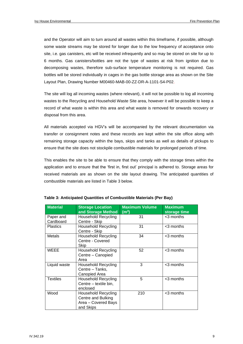and the Operator will aim to turn around all wastes within this timeframe, if possible, although some waste streams may be stored for longer due to the low frequency of acceptance onto site, i.e. gas canisters, etc will be received infrequently and so may be stored on site for up to 6 months. Gas canisters/bottles are not the type of wastes at risk from ignition due to decomposing wastes, therefore sub-surface temperature monitoring is not required. Gas bottles will be stored individually in cages in the gas bottle storage area as shown on the Site Layout Plan, Drawing Number M00460-MAB-00-ZZ-DR-A-1101-S4-P02.

The site will log all incoming wastes (where relevant), it will not be possible to log all incoming wastes to the Recycling and Household Waste Site area, however it will be possible to keep a record of what waste is within this area and what waste is removed for onwards recovery or disposal from this area.

All materials accepted via HGV's will be accompanied by the relevant documentation via transfer or consignment notes and these records are kept within the site office along with remaining storage capacity within the bays, skips and tanks as well as details of pickups to ensure that the site does not stockpile combustible materials for prolonged periods of time.

This enables the site to be able to ensure that they comply with the storage times within the application and to ensure that the 'first in, first out' principal is adhered to. Storage areas for received materials are as shown on the site layout drawing. The anticipated quantities of combustible materials are listed in Table 3 below.

| <b>Material</b>        | <b>Storage Location</b><br>and Storage Method                                        | <b>Maximum Volume</b><br>$\textsf{(m}^3\textsf{)}$ | <b>Maximum</b><br>storage time |
|------------------------|--------------------------------------------------------------------------------------|----------------------------------------------------|--------------------------------|
| Paper and<br>Cardboard | Household Recycling<br>Centre - Skip                                                 | 31                                                 | <3 months                      |
| <b>Plastics</b>        | <b>Household Recycling</b><br>Centre - Skip                                          | 31                                                 | <3 months                      |
| Metals                 | <b>Household Recycling</b><br>Centre - Covered<br>Skip                               | 34                                                 | <3 months                      |
| <b>WEEE</b>            | <b>Household Recycling</b><br>Centre - Canopied<br>Area                              | 52                                                 | <3 months                      |
| Liquid waste           | <b>Household Recycling</b><br>Centre - Tanks,<br>Canopied Area                       | 3                                                  | <3 months                      |
| <b>Textiles</b>        | <b>Household Recycling</b><br>Centre - textile bin,<br>enclosed                      | 5                                                  | <3 months                      |
| Wood                   | <b>Household Recycling</b><br>Centre and Bulking<br>Area - Covered Bays<br>and Skips | 210                                                | <3 months                      |

| Table 3: Anticipated Quantities of Combustible Materials (Per Bay) |  |  |
|--------------------------------------------------------------------|--|--|
|                                                                    |  |  |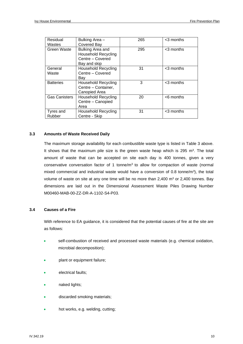| Residual             | Bulking Area -             | 265 | <3 months    |
|----------------------|----------------------------|-----|--------------|
| Wastes               | Covered Bay                |     |              |
| Green Waste          | Bulking Area and           | 295 | <3 months    |
|                      | <b>Household Recycling</b> |     |              |
|                      | Centre - Covered           |     |              |
|                      | Bay and skip               |     |              |
| General              | <b>Household Recycling</b> | 31  | $<$ 3 months |
| Waste                | Centre - Covered           |     |              |
|                      | Bay                        |     |              |
| <b>Batteries</b>     | <b>Household Recycling</b> | 3   | $<$ 3 months |
|                      | Centre - Container,        |     |              |
|                      | Canopied Area              |     |              |
| <b>Gas Canisters</b> | <b>Household Recycling</b> | 20  | $<$ 6 months |
|                      | Centre - Canopied          |     |              |
|                      | Area                       |     |              |
| Tyres and            | Household Recycling        | 31  | $<$ 3 months |
| Rubber               | Centre - Skip              |     |              |

#### **3.3 Amounts of Waste Received Daily**

The maximum storage availability for each combustible waste type is listed in Table 3 above. It shows that the maximum pile size is the green waste heap which is  $295 \, \text{m}^3$ . The total amount of waste that can be accepted on site each day is 400 tonnes, given a very conservative conversation factor of 1 tonne/ $m<sup>3</sup>$  to allow for compaction of waste (normal mixed commercial and industrial waste would have a conversion of 0.8 tonne/ $m<sup>3</sup>$ ), the total volume of waste on site at any one time will be no more than  $2,400$  m<sup>3</sup> or  $2,400$  tonnes. Bay dimensions are laid out in the Dimensional Assessment Waste Piles Drawing Number M00460-MAB-00-ZZ-DR-A-1102-S4-P03.

#### **3.4 Causes of a Fire**

With reference to EA guidance, it is considered that the potential causes of fire at the site are as follows:

- self-combustion of received and processed waste materials (e.g. chemical oxidation, microbial decomposition);
- plant or equipment failure;
- electrical faults;
- naked lights;
- discarded smoking materials;
- hot works, e.g. welding, cutting;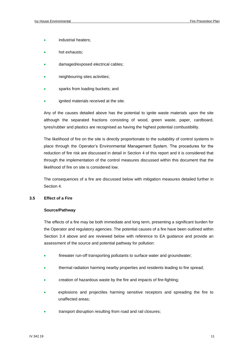- industrial heaters;
- hot exhausts;
- damaged/exposed electrical cables;
- neighbouring sites activities;
- sparks from loading buckets; and
- ignited materials received at the site.

Any of the causes detailed above has the potential to ignite waste materials upon the site although the separated fractions consisting of wood, green waste, paper, cardboard, tyres/rubber and plastics are recognised as having the highest potential combustibility.

The likelihood of fire on the site is directly proportionate to the suitability of control systems in place through the Operator's Environmental Management System. The procedures for the reduction of fire risk are discussed in detail in Section 4 of this report and it is considered that through the implementation of the control measures discussed within this document that the likelihood of fire on site is considered low.

The consequences of a fire are discussed below with mitigation measures detailed further in Section 4.

#### **3.5 Effect of a Fire**

#### **Source/Pathway**

The effects of a fire may be both immediate and long term, presenting a significant burden for the Operator and regulatory agencies. The potential causes of a fire have been outlined within Section 3.4 above and are reviewed below with reference to EA guidance and provide an assessment of the source and potential pathway for pollution:

- firewater run-off transporting pollutants to surface water and groundwater;
- thermal radiation harming nearby properties and residents leading to fire spread;
- creation of hazardous waste by the fire and impacts of fire-fighting;
- explosions and projectiles harming sensitive receptors and spreading the fire to unaffected areas;
- transport disruption resulting from road and rail closures;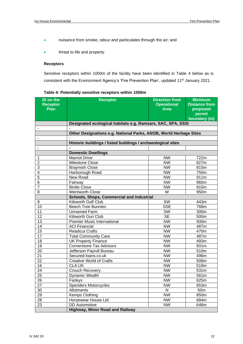- nuisance from smoke, odour and particulates through the air; and
- threat to life and property.

#### **Receptors**

Sensitive receptors within 1000m of the facility have been identified in Table 4 below as is consistent with the Environment Agency's 'Fire Prevention Plan', updated 11<sup>th</sup> January 2021.

| ID on the<br><b>Receptor</b><br><b>Plan</b> | <b>Receptor</b>                                                    | <b>Direction from</b><br><b>Operational</b><br><b>Area</b> | <b>Minimum</b><br><b>Distance from</b><br>proposed<br>permit<br>boundary (m) |
|---------------------------------------------|--------------------------------------------------------------------|------------------------------------------------------------|------------------------------------------------------------------------------|
|                                             | Designated ecological habitats e.g. Ramsars, SAC, SPA, SSSI        |                                                            |                                                                              |
| $\overline{\phantom{a}}$                    |                                                                    |                                                            |                                                                              |
|                                             | Other Designations e.g. National Parks, ANOB, World Heritage Sites |                                                            |                                                                              |
| $\blacksquare$                              |                                                                    |                                                            |                                                                              |
|                                             | Historic buildings / listed buildings / archaeological sites       |                                                            |                                                                              |
| $\blacksquare$                              |                                                                    |                                                            |                                                                              |
|                                             | <b>Domestic Dwellings</b>                                          |                                                            |                                                                              |
| 1                                           | <b>Marriot Drive</b>                                               | <b>NW</b>                                                  | 722m                                                                         |
| $\overline{2}$                              | <b>Milestone Close</b>                                             | <b>NW</b>                                                  | 827m                                                                         |
| 3                                           | <b>Braymish Close</b>                                              | <b>NW</b>                                                  | 815m                                                                         |
| $\overline{4}$                              | Harborough Road                                                    | <b>NW</b>                                                  | $\overline{7}50m$                                                            |
| $\overline{5}$                              | New Road                                                           | <b>NW</b>                                                  | 911m                                                                         |
| $\overline{6}$                              | Fairway                                                            | <b>NW</b>                                                  | 960m                                                                         |
| $\overline{7}$                              | <b>Birdie Close</b>                                                | <b>NW</b>                                                  | 915m                                                                         |
| 8                                           | <b>Wentworth Close</b>                                             | W                                                          | 950m                                                                         |
|                                             | <b>Schools, Shops, Commercial and Industrial</b>                   |                                                            |                                                                              |
| 9                                           | Kibworth Golf Club                                                 | SW                                                         | 443m                                                                         |
| 10                                          | <b>Beech Tree Bunnies</b>                                          | <b>SSE</b>                                                 | 768m                                                                         |
| $\overline{11}$                             | <b>Unnamed Farm</b>                                                | $\overline{\text{SW}}$                                     | 300m                                                                         |
| 12                                          | Kibworth Gun Club                                                  | $\overline{\text{SE}}$                                     | 500m                                                                         |
| $\overline{13}$                             | <b>Premier Music International</b>                                 | <b>NW</b>                                                  | 500m                                                                         |
| $\overline{14}$                             | <b>ACI Financial</b>                                               | <b>NW</b>                                                  | 487m                                                                         |
| 15                                          | <b>Readicut Crafts</b>                                             | <b>NW</b>                                                  | 470m                                                                         |
| 17                                          | <b>Total Community Care</b>                                        | <b>NW</b>                                                  | 487m                                                                         |
| $\overline{18}$                             | <b>UK Property Finance</b>                                         | <b>NW</b>                                                  | 493m                                                                         |
| 19                                          | <b>Cornerstone Tax Advisors</b>                                    | <b>NW</b>                                                  | 501m                                                                         |
| 20                                          | Jefferson Payroll Bureau                                           | <b>NW</b>                                                  | 510m                                                                         |
| $\overline{21}$                             | Secured-Ioans.co.uk                                                | <b>NW</b>                                                  | 496m                                                                         |
| $\overline{22}$                             | <b>Creative World of Crafts</b>                                    | <b>NW</b>                                                  | 508m                                                                         |
| 16                                          | <b>CLA UK</b>                                                      | <b>NW</b>                                                  | 519m                                                                         |
| $\overline{24}$                             | Crouch Recovery                                                    | <b>NW</b>                                                  | 531m                                                                         |
| $\overline{25}$                             | Dynamic Wealth                                                     | <b>NW</b>                                                  | 561m                                                                         |
| 26                                          | Farleys                                                            | NW.                                                        | 625m                                                                         |
| 27                                          | <b>Spenders Motorcycles</b>                                        | <b>NW</b>                                                  | 653m                                                                         |
| $30\,$                                      | Allotments                                                         | N                                                          | 50 <sub>m</sub>                                                              |
| 29                                          | Kemps Clothing                                                     | <b>NW</b>                                                  | 850m                                                                         |
| 28                                          | Horsewear House Ltd                                                | <b>NW</b>                                                  | 684m                                                                         |
| 23                                          | <b>DD</b> Automotive                                               | <b>NW</b>                                                  | 646m                                                                         |
|                                             | <b>Highway, Minor Road and Railway</b>                             |                                                            |                                                                              |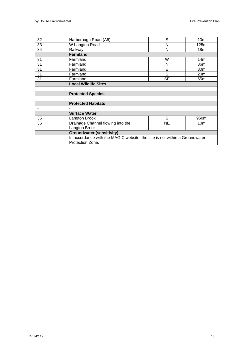| 32 | Harborough Road (A6)                                                       | S         | 10 <sub>m</sub>  |  |  |  |
|----|----------------------------------------------------------------------------|-----------|------------------|--|--|--|
| 33 | W Langton Road                                                             | N         | 125m             |  |  |  |
| 34 | Railway                                                                    | N         | 18 <sub>m</sub>  |  |  |  |
|    | <b>Farmland</b>                                                            |           |                  |  |  |  |
| 31 | Farmland                                                                   | W         | 14m              |  |  |  |
| 31 | Farmland                                                                   | N         | 36m              |  |  |  |
| 31 | Farmland                                                                   | E         | 30 <sub>m</sub>  |  |  |  |
| 31 | Farmland                                                                   | S         | 20 <sub>m</sub>  |  |  |  |
| 31 | Farmland                                                                   | <b>SE</b> | 65 <sub>m</sub>  |  |  |  |
|    | <b>Local Wildlife Sites</b>                                                |           |                  |  |  |  |
|    |                                                                            |           |                  |  |  |  |
|    | <b>Protected Species</b>                                                   |           |                  |  |  |  |
|    |                                                                            |           |                  |  |  |  |
|    | <b>Protected Habitats</b>                                                  |           |                  |  |  |  |
|    |                                                                            |           |                  |  |  |  |
|    | <b>Surface Water</b>                                                       |           |                  |  |  |  |
| 35 | Langton Brook                                                              | S         | 950 <sub>m</sub> |  |  |  |
| 36 | Drainage Channel flowing into the                                          | NE        | 10 <sub>m</sub>  |  |  |  |
|    | Langton Brook                                                              |           |                  |  |  |  |
|    | <b>Groundwater (sensitivity)</b>                                           |           |                  |  |  |  |
|    | In accordance with the MAGIC website, the site is not within a Groundwater |           |                  |  |  |  |
|    | Protection Zone.                                                           |           |                  |  |  |  |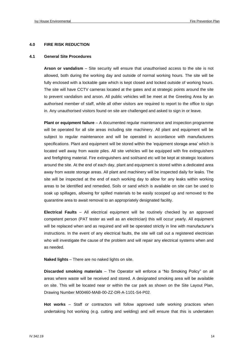#### **4.0 FIRE RISK REDUCTION**

#### **4.1 General Site Procedures**

**Arson or vandalism** – Site security will ensure that unauthorised access to the site is not allowed, both during the working day and outside of normal working hours. The site will be fully enclosed with a lockable gate which is kept closed and locked outside of working hours. The site will have CCTV cameras located at the gates and at strategic points around the site to prevent vandalism and arson. All public vehicles will be meet at the Greeting Area by an authorised member of staff, while all other visitors are required to report to the office to sign in. Any unauthorised visitors found on site are challenged and asked to sign in or leave.

**Plant or equipment failure** – A documented regular maintenance and inspection programme will be operated for all site areas including site machinery. All plant and equipment will be subject to regular maintenance and will be operated in accordance with manufacturers specifications. Plant and equipment will be stored within the 'equipment storage area' which is located well away from waste piles. All site vehicles will be equipped with fire extinguishers and firefighting material. Fire extinguishers and soil/sand etc will be kept at strategic locations around the site. At the end of each day, plant and equipment is stored within a dedicated area away from waste storage areas. All plant and machinery will be inspected daily for leaks. The site will be inspected at the end of each working day to allow for any leaks within working areas to be identified and remedied. Soils or sand which is available on site can be used to soak up spillages, allowing for spilled materials to be easily scooped up and removed to the quarantine area to await removal to an appropriately designated facility.

**Electrical Faults** – All electrical equipment will be routinely checked by an approved competent person (PAT tester as well as an electrician) this will occur yearly. All equipment will be replaced when and as required and will be operated strictly in line with manufacturer's instructions. In the event of any electrical faults, the site will call out a registered electrician who will investigate the cause of the problem and will repair any electrical systems when and as needed.

**Naked lights** – There are no naked lights on site.

**Discarded smoking materials** – The Operator will enforce a "No Smoking Policy" on all areas where waste will be received and stored. A designated smoking area will be available on site. This will be located near or within the car park as shown on the Site Layout Plan, Drawing Number M00460-MAB-00-ZZ-DR-A-1101-S4-P02.

**Hot works** – Staff or contractors will follow approved safe working practices when undertaking hot working (e.g. cutting and welding) and will ensure that this is undertaken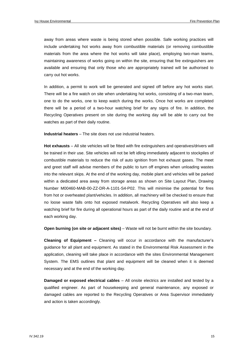away from areas where waste is being stored when possible. Safe working practices will include undertaking hot works away from combustible materials (or removing combustible materials from the area where the hot works will take place), employing two-man teams, maintaining awareness of works going on within the site, ensuring that fire extinguishers are available and ensuring that only those who are appropriately trained will be authorised to carry out hot works.

In addition, a permit to work will be generated and signed off before any hot works start. There will be a fire watch on site when undertaking hot works, consisting of a two-man team, one to do the works, one to keep watch during the works. Once hot works are completed there will be a period of a two-hour watching brief for any signs of fire. In addition, the Recycling Operatives present on site during the working day will be able to carry out fire watches as part of their daily routine.

**Industrial heaters** – The site does not use industrial heaters.

**Hot exhausts** – All site vehicles will be fitted with fire extinguishers and operatives/drivers will be trained in their use. Site vehicles will not be left idling immediately adjacent to stockpiles of combustible materials to reduce the risk of auto ignition from hot exhaust gases. The meet and greet staff will advise members of the public to turn off engines when unloading wastes into the relevant skips. At the end of the working day, mobile plant and vehicles will be parked within a dedicated area away from storage areas as shown on Site Layout Plan, Drawing Number M00460-MAB-00-ZZ-DR-A-1101-S4-P02. This will minimise the potential for fires from hot or overheated plant/vehicles. In addition, all machinery will be checked to ensure that no loose waste falls onto hot exposed metalwork. Recycling Operatives will also keep a watching brief for fire during all operational hours as part of the daily routine and at the end of each working day.

**Open burning (on site or adjacent sites)** – Waste will not be burnt within the site boundary.

**Cleaning of Equipment –** Cleaning will occur in accordance with the manufacturer's guidance for all plant and equipment. As stated in the Environmental Risk Assessment in the application, cleaning will take place in accordance with the sites Environmental Management System. The EMS outlines that plant and equipment will be cleaned when it is deemed necessary and at the end of the working day.

**Damaged or exposed electrical cables** – All onsite electrics are installed and tested by a qualified engineer. As part of housekeeping and general maintenance, any exposed or damaged cables are reported to the Recycling Operatives or Area Supervisor immediately and action is taken accordingly.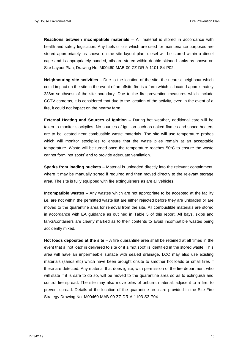**Reactions between incompatible materials** – All material is stored in accordance with health and safety legislation. Any fuels or oils which are used for maintenance purposes are stored appropriately as shown on the site layout plan, diesel will be stored within a diesel cage and is appropriately bunded, oils are stored within double skinned tanks as shown on Site Layout Plan, Drawing No. M00460-MAB-00-ZZ-DR-A-1101-S4-P02.

**Neighbouring site activities** – Due to the location of the site, the nearest neighbour which could impact on the site in the event of an offsite fire is a farm which is located approximately 336m southwest of the site boundary. Due to the fire prevention measures which include CCTV cameras, it is considered that due to the location of the activity, even in the event of a fire, it could not impact on the nearby farm.

**External Heating and Sources of Ignition –** During hot weather, additional care will be taken to monitor stockpiles. No sources of ignition such as naked flames and space heaters are to be located near combustible waste materials. The site will use temperature probes which will monitor stockpiles to ensure that the waste piles remain at an acceptable temperature. Waste will be turned once the temperature reaches  $50^{\circ}$ C to ensure the waste cannot form 'hot spots' and to provide adequate ventilation.

**Sparks from loading buckets** – Material is unloaded directly into the relevant containment, where it may be manually sorted if required and then moved directly to the relevant storage area. The site is fully equipped with fire extinguishers as are all vehicles.

**Incompatible wastes** – Any wastes which are not appropriate to be accepted at the facility i.e. are not within the permitted waste list are either rejected before they are unloaded or are moved to the quarantine area for removal from the site. All combustible materials are stored in accordance with EA guidance as outlined in Table 5 of this report. All bays, skips and tanks/containers are clearly marked as to their contents to avoid incompatible wastes being accidently mixed.

**Hot loads deposited at the site** – A fire quarantine area shall be retained at all times in the event that a 'hot load' is delivered to site or if a 'hot spot' is identified in the stored waste. This area will have an impermeable surface with sealed drainage. LCC may also use existing materials (sands etc) which have been brought onsite to smother hot loads or small fires if these are detected. Any material that does ignite, with permission of the fire department who will state if it is safe to do so, will be moved to the quarantine area so as to extinguish and control fire spread. The site may also move piles of unburnt material, adjacent to a fire, to prevent spread. Details of the location of the quarantine area are provided in the Site Fire Strategy Drawing No. M00460-MAB-00-ZZ-DR-A-1103-S3-P04.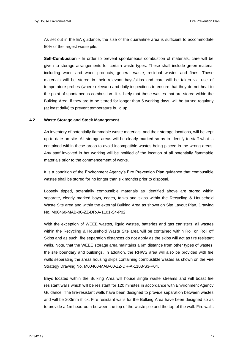As set out in the EA guidance, the size of the quarantine area is sufficient to accommodate 50% of the largest waste pile.

**Self-Combustion -** In order to prevent spontaneous combustion of materials, care will be given to storage arrangements for certain waste types. These shall include green material including wood and wood products, general waste, residual wastes and fines. These materials will be stored in their relevant bays/skips and care will be taken via use of temperature probes (where relevant) and daily inspections to ensure that they do not heat to the point of spontaneous combustion. It is likely that these wastes that are stored within the Bulking Area, if they are to be stored for longer than 5 working days, will be turned regularly (at least daily) to prevent temperature build up.

#### **4.2 Waste Storage and Stock Management**

An inventory of potentially flammable waste materials, and their storage locations, will be kept up to date on site. All storage areas will be clearly marked so as to identify to staff what is contained within these areas to avoid incompatible wastes being placed in the wrong areas. Any staff involved in hot working will be notified of the location of all potentially flammable materials prior to the commencement of works.

It is a condition of the Environment Agency's Fire Prevention Plan guidance that combustible wastes shall be stored for no longer than six months prior to disposal.

Loosely tipped, potentially combustible materials as identified above are stored within separate, clearly marked bays, cages, tanks and skips within the Recycling & Household Waste Site area and within the external Bulking Area as shown on Site Layout Plan, Drawing No. M00460-MAB-00-ZZ-DR-A-1101-S4-P02.

With the exception of WEEE wastes, liquid wastes, batteries and gas canisters, all wastes within the Recycling & Household Waste Site area will be contained within Roll on Roll off Skips and as such, fire separation distances do not apply as the skips will act as fire resistant walls. Note, that the WEEE storage area maintains a 6m distance from other types of wastes, the site boundary and buildings. In addition, the RHWS area will also be provided with fire walls separating the areas housing skips containing combustible wastes as shown on the Fire Strategy Drawing No. M00460-MAB-00-ZZ-DR-A-1103-S3-P04.

Bays located within the Bulking Area will house single waste streams and will boast fire resistant walls which will be resistant for 120 minutes in accordance with Environment Agency Guidance. The fire-resistant walls have been designed to provide separation between wastes and will be 200mm thick. Fire resistant walls for the Bulking Area have been designed so as to provide a 1m headroom between the top of the waste pile and the top of the wall. Fire walls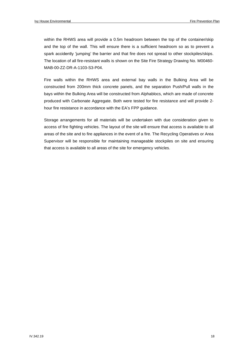within the RHWS area will provide a 0.5m headroom between the top of the container/skip and the top of the wall. This will ensure there is a sufficient headroom so as to prevent a spark accidently 'jumping' the barrier and that fire does not spread to other stockpiles/skips. The location of all fire-resistant walls is shown on the Site Fire Strategy Drawing No. M00460- MAB-00-ZZ-DR-A-1103-S3-P04.

Fire walls within the RHWS area and external bay walls in the Bulking Area will be constructed from 200mm thick concrete panels, and the separation Push/Pull walls in the bays within the Bulking Area will be constructed from Alphablocs, which are made of concrete produced with Carbonate Aggregate. Both were tested for fire resistance and will provide 2 hour fire resistance in accordance with the EA's FPP guidance.

Storage arrangements for all materials will be undertaken with due consideration given to access of fire fighting vehicles. The layout of the site will ensure that access is available to all areas of the site and to fire appliances in the event of a fire. The Recycling Operatives or Area Supervisor will be responsible for maintaining manageable stockpiles on site and ensuring that access is available to all areas of the site for emergency vehicles.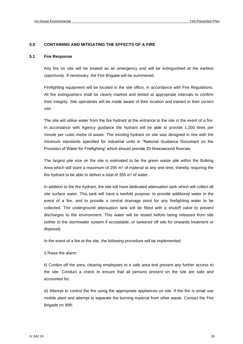#### **5.0 CONTAINING AND MITIGATING THE EFFECTS OF A FIRE**

#### **5.1 Fire Response**

Any fire on site will be treated as an emergency and will be extinguished at the earliest opportunity. If necessary, the Fire Brigade will be summoned.

Firefighting equipment will be located in the site office, in accordance with Fire Regulations. All fire extinguishers shall be clearly marked and tested at appropriate intervals to confirm their integrity. Site operatives will be made aware of their location and trained in their correct use.

The site will utilise water from the fire hydrant at the entrance to the site in the event of a fire. In accordance with Agency guidance the hydrant will be able to provide 1,200 litres per minute per cubic metre of waste. The existing hydrant on site was designed in line with the minimum standards specified for industrial units in "National Guidance Document on the Provision of Water for Firefighting" which should provide 20 litres/second flowrate.

The largest pile size on the site is estimated to be the green waste pile within the Bulking Area which will store a maximum of 295  $m<sup>3</sup>$  of material at any one time, thereby requiring the fire hydrant to be able to deliver a total of  $355 \text{ m}^3$  of water.

In addition to the fire hydrant, the site will have dedicated attenuation tank which will collect all site surface water. This tank will have a twofold purpose; to provide additional water in the event of a fire, and to provide a central drainage point for any firefighting water to be collected. The underground attenuation tank will be fitted with a shutoff valve to prevent discharges to the environment. This water will be tested before being released from site (either to the stormwater system if acceptable, or tankered off site for onwards treatment or disposal).

In the event of a fire at the site, the following procedure will be implemented:

i) Raise the alarm;

ii) Cordon off the area, clearing employees to a safe area and prevent any further access to the site. Conduct a check to ensure that all persons present on the site are safe and accounted for;

iii) Attempt to control the fire using the appropriate appliances on site. If the fire is small use mobile plant and attempt to separate the burning material from other waste. Contact the Fire Brigade on 999;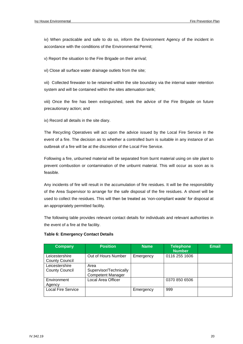iv) When practicable and safe to do so, inform the Environment Agency of the incident in accordance with the conditions of the Environmental Permit;

v) Report the situation to the Fire Brigade on their arrival;

vi) Close all surface water drainage outlets from the site;

vii) Collected firewater to be retained within the site boundary via the internal water retention system and will be contained within the sites attenuation tank;

viii) Once the fire has been extinguished, seek the advice of the Fire Brigade on future precautionary action; and

ix) Record all details in the site diary.

The Recycling Operatives will act upon the advice issued by the Local Fire Service in the event of a fire. The decision as to whether a controlled burn is suitable in any instance of an outbreak of a fire will be at the discretion of the Local Fire Service.

Following a fire, unburned material will be separated from burnt material using on site plant to prevent combustion or contamination of the unburnt material. This will occur as soon as is feasible.

Any incidents of fire will result in the accumulation of fire residues. It will be the responsibility of the Area Supervisor to arrange for the safe disposal of the fire residues. A shovel will be used to collect the residues. This will then be treated as 'non-compliant waste' for disposal at an appropriately permitted facility.

The following table provides relevant contact details for individuals and relevant authorities in the event of a fire at the facility.

| <b>Company</b>                          | <b>Position</b>                                            | <b>Name</b> | <b>Telephone</b><br><b>Number</b> | <b>Email</b> |
|-----------------------------------------|------------------------------------------------------------|-------------|-----------------------------------|--------------|
| Leicestershire<br><b>County Council</b> | Out of Hours Number                                        | Emergency   | 0116 255 1606                     |              |
| Leicestershire<br><b>County Council</b> | Area<br>Supervisor/Technically<br><b>Competent Manager</b> |             |                                   |              |
| Environment<br>Agency                   | Local Area Officer                                         |             | 0370 850 6506                     |              |
| <b>Local Fire Service</b>               |                                                            | Emergency   | 999                               |              |

#### **Table 6: Emergency Contact Details**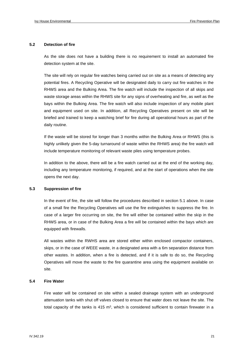#### **5.2 Detection of fire**

As the site does not have a building there is no requirement to install an automated fire detection system at the site.

The site will rely on regular fire watches being carried out on site as a means of detecting any potential fires. A Recycling Operative will be designated daily to carry out fire watches in the RHWS area and the Bulking Area. The fire watch will include the inspection of all skips and waste storage areas within the RHWS site for any signs of overheating and fire, as well as the bays within the Bulking Area. The fire watch will also include inspection of any mobile plant and equipment used on site. In addition, all Recycling Operatives present on site will be briefed and trained to keep a watching brief for fire during all operational hours as part of the daily routine.

If the waste will be stored for longer than 3 months within the Bulking Area or RHWS (this is highly unlikely given the 5-day turnaround of waste within the RHWS area) the fire watch will include temperature monitoring of relevant waste piles using temperature probes.

In addition to the above, there will be a fire watch carried out at the end of the working day, including any temperature monitoring, if required, and at the start of operations when the site opens the next day.

#### **5.3 Suppression of fire**

In the event of fire, the site will follow the procedures described in section 5.1 above. In case of a small fire the Recycling Operatives will use the fire extinguishes to suppress the fire. In case of a larger fire occurring on site, the fire will either be contained within the skip in the RHWS area, or in case of the Bulking Area a fire will be contained within the bays which are equipped with firewalls.

All wastes within the RWHS area are stored either within enclosed compactor containers, skips, or in the case of WEEE waste, in a designated area with a 6m separation distance from other wastes. In addition, when a fire is detected, and if it is safe to do so, the Recycling Operatives will move the waste to the fire quarantine area using the equipment available on site.

#### **5.4 Fire Water**

Fire water will be contained on site within a sealed drainage system with an underground attenuation tanks with shut off valves closed to ensure that water does not leave the site. The total capacity of the tanks is 415 m<sup>3</sup>, which is considered sufficient to contain firewater in a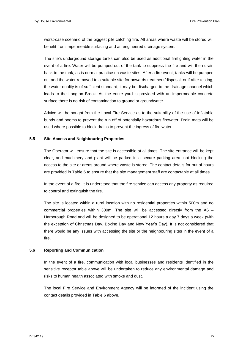worst-case scenario of the biggest pile catching fire. All areas where waste will be stored will benefit from impermeable surfacing and an engineered drainage system.

The site's underground storage tanks can also be used as additional firefighting water in the event of a fire. Water will be pumped out of the tank to suppress the fire and will then drain back to the tank, as is normal practice on waste sites. After a fire event, tanks will be pumped out and the water removed to a suitable site for onwards treatment/disposal, or if after testing, the water quality is of sufficient standard, it may be discharged to the drainage channel which leads to the Langton Brook. As the entire yard is provided with an impermeable concrete surface there is no risk of contamination to ground or groundwater.

Advice will be sought from the Local Fire Service as to the suitability of the use of inflatable bunds and booms to prevent the run off of potentially hazardous firewater. Drain mats will be used where possible to block drains to prevent the ingress of fire water.

#### **5.5 Site Access and Neighbouring Properties**

The Operator will ensure that the site is accessible at all times. The site entrance will be kept clear, and machinery and plant will be parked in a secure parking area, not blocking the access to the site or areas around where waste is stored. The contact details for out of hours are provided in Table 6 to ensure that the site management staff are contactable at all times.

In the event of a fire, it is understood that the fire service can access any property as required to control and extinguish the fire.

The site is located within a rural location with no residential properties within 500m and no commercial properties within 300m. The site will be accessed directly from the A6 – Harborough Road and will be designed to be operational 12 hours a day 7 days a week (with the exception of Christmas Day, Boxing Day and New Year's Day). It is not considered that there would be any issues with accessing the site or the neighbouring sites in the event of a fire.

#### **5.6 Reporting and Communication**

In the event of a fire, communication with local businesses and residents identified in the sensitive receptor table above will be undertaken to reduce any environmental damage and risks to human health associated with smoke and dust.

The local Fire Service and Environment Agency will be informed of the incident using the contact details provided in Table 6 above.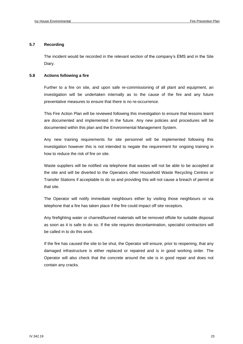#### **5.7 Recording**

The incident would be recorded in the relevant section of the company's EMS and in the Site Diary.

#### **5.8 Actions following a fire**

Further to a fire on site, and upon safe re-commissioning of all plant and equipment, an investigation will be undertaken internally as to the cause of the fire and any future preventative measures to ensure that there is no re-occurrence.

This Fire Action Plan will be reviewed following this investigation to ensure that lessons learnt are documented and implemented in the future. Any new policies and procedures will be documented within this plan and the Environmental Management System.

Any new training requirements for site personnel will be implemented following this investigation however this is not intended to negate the requirement for ongoing training in how to reduce the risk of fire on site.

Waste suppliers will be notified via telephone that wastes will not be able to be accepted at the site and will be diverted to the Operators other Household Waste Recycling Centres or Transfer Stations if acceptable to do so and providing this will not cause a breach of permit at that site.

The Operator will notify immediate neighbours either by visiting those neighbours or via telephone that a fire has taken place if the fire could impact off site receptors.

Any firefighting water or charred/burned materials will be removed offsite for suitable disposal as soon as it is safe to do so. If the site requires decontamination, specialist contractors will be called in to do this work.

If the fire has caused the site to be shut, the Operator will ensure, prior to reopening, that any damaged infrastructure is either replaced or repaired and is in good working order. The Operator will also check that the concrete around the site is in good repair and does not contain any cracks.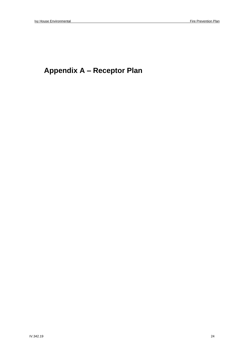### **Appendix A – Receptor Plan**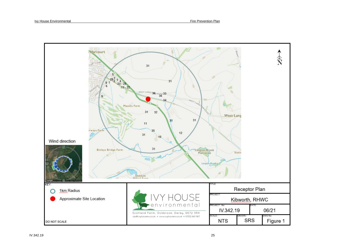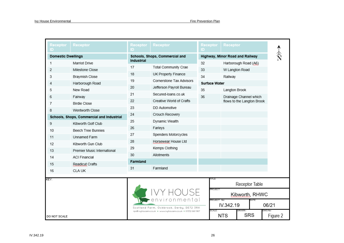| Receptor<br>D                             | Receptor                    | Receptor<br>D                                            | Receptor                                                    | Receptor<br>D                   | Receptor                   |                            |                     |
|-------------------------------------------|-----------------------------|----------------------------------------------------------|-------------------------------------------------------------|---------------------------------|----------------------------|----------------------------|---------------------|
| <b>Domestic Dwellings</b>                 |                             | Schools, Shops, Commercial and                           |                                                             | Highway, Minor Road and Railway |                            |                            |                     |
| 1                                         | Marriot Drive               | <b>Industrial</b>                                        |                                                             | 32                              |                            | Harborough Road (A6)       |                     |
| 2                                         | Milestone Close             | 17                                                       | Total Community Crae                                        | 33                              |                            | W Langton Road             |                     |
| 3                                         | <b>Braymish Close</b>       | 18                                                       | UK Property Finance                                         | 34                              | Railway                    |                            |                     |
| 4                                         | Harborough Road             | 19                                                       | Cornerstone Tax Advisors                                    |                                 | <b>Surface Water</b>       |                            |                     |
| 5                                         | New Road                    | 20                                                       | Jefferson Payroll Bureau                                    | 35                              | Langton Brook              |                            |                     |
| 6                                         | Fairway                     | 21                                                       | Secured-Ioans.co.uk                                         | 36                              |                            | Drainage Channel which     |                     |
| 7                                         | <b>Birdie Close</b>         | 22                                                       | Creative World of Crafts                                    |                                 |                            | flows to the Langton Brook |                     |
| 8                                         | Wentworth Close             | 23                                                       | DD Automotive                                               |                                 |                            |                            |                     |
| Schools, Shops, Commercial and Industrial |                             | 24                                                       | Crouch Recovery                                             |                                 |                            |                            |                     |
| 9                                         | Kibworth Golf Club          | 25                                                       | Dynamic Wealth                                              |                                 |                            |                            |                     |
| 10                                        | <b>Beech Tree Bunnies</b>   | 26                                                       | Farleys                                                     |                                 |                            |                            |                     |
| 11                                        | Unnamed Farm                | 27                                                       | Spenders Motorcycles                                        |                                 |                            |                            |                     |
| 12                                        | Kibworth Gun Club           | 28                                                       | Horsewear House Ltd                                         |                                 |                            |                            |                     |
| 13                                        | Premier Music International | 29                                                       | Kemps Clothing                                              |                                 |                            |                            |                     |
| 14                                        | <b>ACI Financial</b>        | 30                                                       | Allotments                                                  |                                 |                            |                            |                     |
| 15                                        | Readicut Crafts             | Farmland                                                 |                                                             |                                 |                            |                            |                     |
| 16                                        | <b>CLA UK</b>               | 31                                                       | Farmland                                                    |                                 |                            |                            |                     |
|                                           |                             |                                                          |                                                             | 'ITLE:                          |                            |                            |                     |
| KEY:                                      |                             | environmenta<br>Scotland Farm, Ockbrook, Derby, DE72 3RX |                                                             |                                 |                            | Receptor Table             |                     |
|                                           |                             |                                                          |                                                             |                                 | PROJECT:<br>Kibworth, RHWC |                            |                     |
|                                           |                             |                                                          |                                                             |                                 | PROJECT No:<br>IV.342.19   |                            | 06/21               |
| DO NOT SCALE                              |                             |                                                          | rps@ivyhousenv.co.uk . www.ivyhousenv.co.uk . 01332 661 987 | SCALE :                         | <b>NTS</b>                 | <b>SRS</b>                 | DWG No:<br>Figure 2 |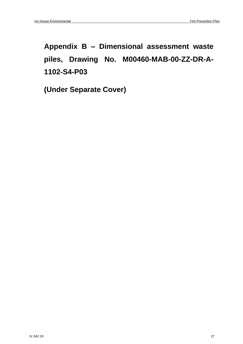## **Appendix B – Dimensional assessment waste piles, Drawing No. M00460-MAB-00-ZZ-DR-A-1102-S4-P03**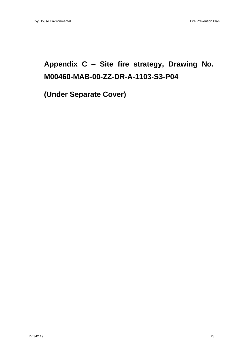### **Appendix C – Site fire strategy, Drawing No. M00460-MAB-00-ZZ-DR-A-1103-S3-P04**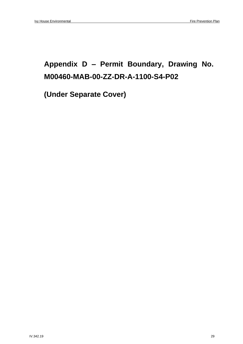### **Appendix D – Permit Boundary, Drawing No. M00460-MAB-00-ZZ-DR-A-1100-S4-P02**